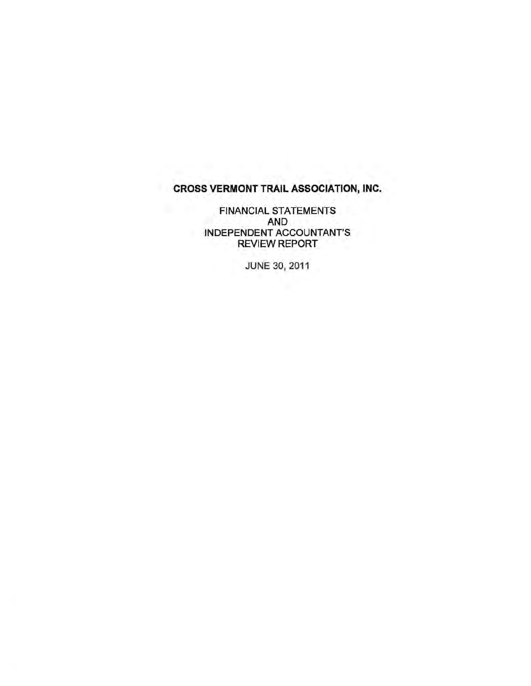### CROSS VERMONT TRAIL ASSOCIATION, INC.

FINANCIAL STATEMENTS AND INDEPENDENT ACCOUNTANT'S REVIEW REPORT

JUNE 30, 2011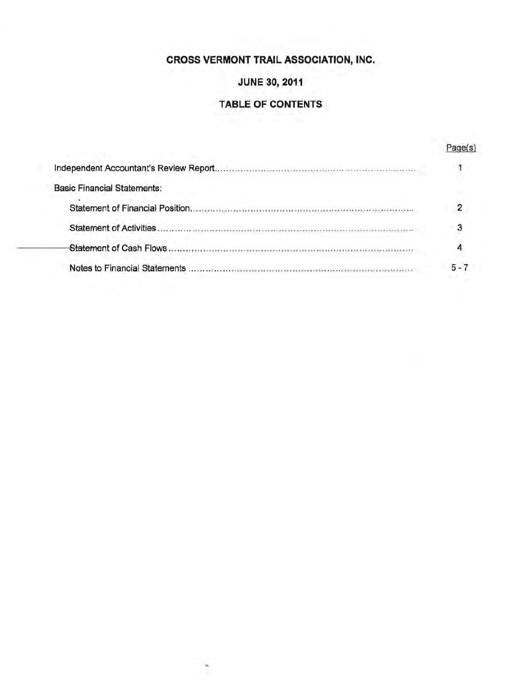## **CROSS VERMONT TRAIL ASSOCIATION, INC.**

### **JUNE 30, 2011**

### **TABLE OF CONTENTS**

|                                    | Page(s) |
|------------------------------------|---------|
|                                    |         |
| <b>Basic Financial Statements:</b> |         |
|                                    |         |
|                                    |         |
|                                    |         |
| Notes to Financial Statements      | $5 - 7$ |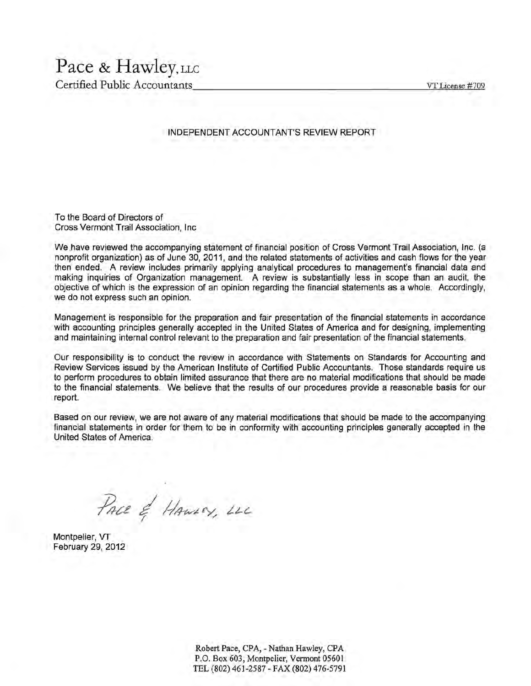# Pace & Hawley, LLC

Certified Public Accountants

#### INDEPENDENT ACCOUNTANT'S REVIEW REPORT

To the Board of Directors of Cross Vermont Trail Association, Inc.

We have reviewed the accompanying statement of financial position of Cross Vermont Trail Association, Inc. (a nonprofit organization) as of June 30, 2011, and the related statements of activities and cash flows for the year then ended. A review includes primarily applying analytical procedures to management's financial data and making inquiries of Organization management. A review is substantially less in scope than an audit, the objective of which is the expression of an opinion regarding the financial statements as a whole. Accordingly, we do not express such an opinion.

Management is responsible for the preparation and fair presentation of the financial statements in accordance with accounting principles generally accepted in the United States of America and for designing, implementing and maintaining internal control relevant to the preparation and fair presentation of the financial statements.

Our responsibility is to conduct the review in accordance with Statements on Standards for Accounting and Review Services issued by the American Institute of Certified Public Accountants. Those standards require us to perform procedures to obtain limited assurance that there are no material modifications that should be made to the financial statements. We believe that the results of our procedures provide a reasonable basis for our report.

Based on our review, we are not aware of any material modifications that should be made to the accompanying financial statements in order for them to be in conformity with accounting principles generally accepted in the United States of America.

Pace & HAWLEY, LLC

Montpelier, VT February 29, 2012

Robert Pace, CPA, - Nathan Hawley, CPA P.O. Box 603, Montpelier, Vermont 05601 TEL (802) 461-2587 - FAX (802) 476-5791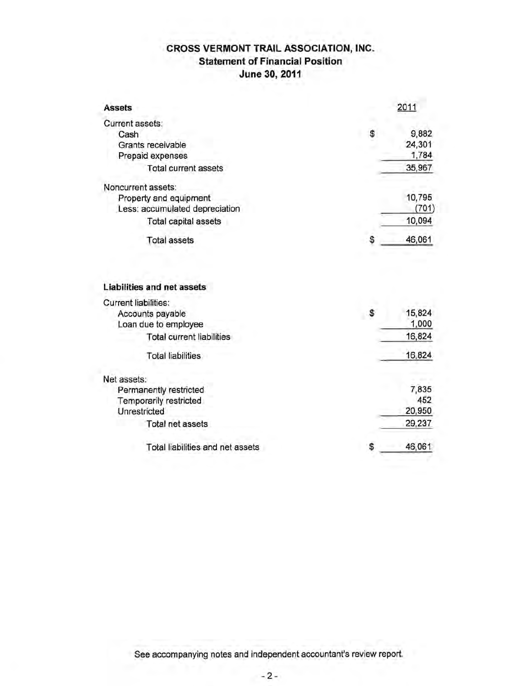### **CROSS VERMONT TRAIL ASSOCIATION, INC. Statement of Financial Position June 30, 2011**

| <b>Assets</b>                                                                                                 | 2011                             |
|---------------------------------------------------------------------------------------------------------------|----------------------------------|
| Current assets:<br>Cash<br>Grants receivable<br>Prepaid expenses                                              | \$<br>9,882<br>24,301<br>1,784   |
| <b>Total current assets</b>                                                                                   | 35,967                           |
| Noncurrent assets:<br>Property and equipment<br>Less: accumulated depreciation<br><b>Total capital assets</b> | 10,795<br>(701)<br>10,094        |
| <b>Total assets</b>                                                                                           | 46,061                           |
| <b>Liabilities and net assets</b><br><b>Current liabilities:</b><br>Accounts payable<br>Loan due to employee  | \$<br>15,824<br>1,000            |
| <b>Total current liabilities</b>                                                                              | 16,824                           |
| <b>Total liabilities</b>                                                                                      | 16,824                           |
| Net assets:<br>Permanently restricted<br>Temporarily restricted<br>Unrestricted<br>Total net assets           | 7,835<br>452<br>20,950<br>29,237 |
| Total liabilities and net assets                                                                              | 46,061                           |

See accompanying notes and independent accountant's review report.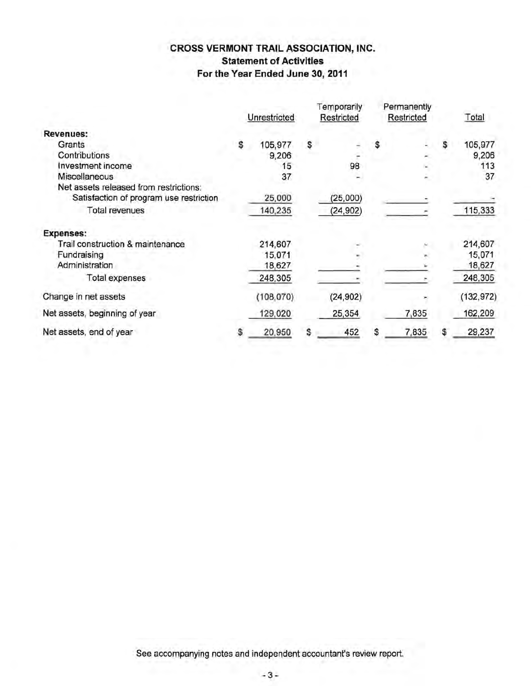### **CROSS VERMONT TRAIL ASSOCIATION, INC. Statement of Activities For the Year Ended June 30, 2011**

|                                         | Unrestricted  | Temporarily<br>Restricted | Permanently<br>Restricted |    | Total      |
|-----------------------------------------|---------------|---------------------------|---------------------------|----|------------|
| <b>Revenues:</b>                        |               |                           |                           |    |            |
| Grants                                  | \$<br>105,977 | \$                        |                           | S  | 105,977    |
| Contributions                           | 9,206         |                           |                           |    | 9,206      |
| Investment income                       | 15            | 98                        |                           |    | 113        |
| Miscellaneous                           | 37            |                           |                           |    | 37         |
| Net assets released from restrictions:  |               |                           |                           |    |            |
| Satisfaction of program use restriction | 25,000        | (25,000)                  |                           |    |            |
| Total revenues                          | 140,235       | (24, 902)                 |                           |    | 115,333    |
| <b>Expenses:</b>                        |               |                           |                           |    |            |
| Trail construction & maintenance        | 214,607       |                           |                           |    | 214,607    |
| Fundraising                             | 15,071        |                           |                           |    | 15,071     |
| Administration                          | 18,627        |                           |                           |    | 18,627     |
| Total expenses                          | 248,305       |                           |                           |    | 248,305    |
| Change in net assets                    | (108, 070)    | (24, 902)                 |                           |    | (132, 972) |
| Net assets, beginning of year           | 129,020       | 25,354                    | 7,835                     |    | 162,209    |
| Net assets, end of year                 | \$<br>20,950  | \$<br>452                 | \$<br>7,835               | \$ | 29,237     |

See accompanying notes and independent accountant's review report.